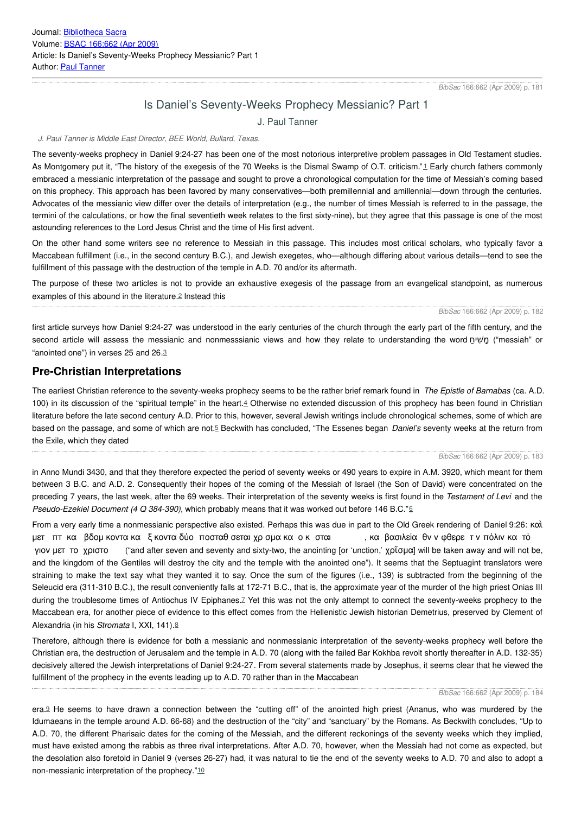# Is Daniel's Seventy-Weeks Prophecy Messianic? Part 1

J. Paul Tanner

#### <span id="page-0-0"></span>*J. Paul Tanner is Middle East Director, BEE World, Bullard, Texas.*

The seventy-weeks prophecy in Daniel 9:24-27 has been one of the most notorious interpretive problem passages in Old Testament studies. As Montgomery put it, "The history of the exegesis of the 70 Weeks is the Dismal Swamp of O.T. criticism."[1](#page-0-0) Early church fathers commonly embraced a messianic interpretation of the passage and sought to prove a chronological computation for the time of Messiah's coming based on this prophecy. This approach has been favored by many conservatives—both premillennial and amillennial—down through the centuries. Advocates of the messianic view differ over the details of interpretation (e.g., the number of times Messiah is referred to in the passage, the termini of the calculations, or how the final seventieth week relates to the first sixty-nine), but they agree that this passage is one of the most astounding references to the Lord Jesus Christ and the time of His first advent.

On the other hand some writers see no reference to Messiah in this passage. This includes most critical scholars, who typically favor a Maccabean fulfillment (i.e., in the second century B.C.), and Jewish exegetes, who—although differing about various details—tend to see the fulfillment of this passage with the destruction of the temple in A.D. 70 and/or its aftermath.

<span id="page-0-2"></span>The purpose of these two articles is not to provide an exhaustive exegesis of the passage from an evangelical standpoint, as numerous examples of this abound in the literature.[2](#page-0-0) Instead this

#### <span id="page-0-1"></span>*BibSac* 166:662 (Apr 2009) p. 182

first article surveys how Daniel 9:24-27 was understood in the early centuries of the church through the early part of the fifth century, and the second article will assess the messianic and nonmesssianic views and how they relate to understanding the word מַשִׁיחַ ("messiah" or "anointed one") in verses 25 and 26.[3](#page-0-0)

### <span id="page-0-3"></span>**Pre-Christian Interpretations**

<span id="page-0-5"></span>The earliest Christian reference to the seventy-weeks prophecy seems to be the rather brief remark found in *The Epistle of Barnabas* (ca. A.D. 100) in its discussion of the "spiritual temple" in the heart.[4](#page-0-0) Otherwise no extended discussion of this prophecy has been found in Christian literature before the late second century A.D. Prior to this, however, several Jewish writings include chronological schemes, some of which are based on the passage, and some of which are not.[5](#page-0-0) Beckwith has concluded, "The Essenes began *Daniel's* seventy weeks at the return from the Exile, which they dated

#### <span id="page-0-6"></span><span id="page-0-4"></span>*BibSac* 166:662 (Apr 2009) p. 183

in Anno Mundi 3430, and that they therefore expected the period of seventy weeks or 490 years to expire in A.M. 3920, which meant for them between 3 B.C. and A.D. 2. Consequently their hopes of the coming of the Messiah of Israel (the Son of David) were concentrated on the preceding 7 years, the last week, after the 69 weeks. Their interpretation of the seventy weeks is first found in the *Testament of Levi* and the *Pseudo-Ezekiel Document (4 Q 384-390)*, which probably means that it was worked out before 146 B.C."[6](#page-0-0)

From a very early time a nonmessianic perspective also existed. Perhaps this was due in part to the Old Greek rendering of Daniel 9:26: καὶ μετ πτ κα βδομ κοντα κα ξ κοντα δύο ποσταθ σεται χρ σμα κα ο κ σται , κα βασιλεία θν ν φθερε τ ν πόλιν κα τό γιον μετ το χριστο ("and after seven and seventy and sixty-two, the anointing [or 'unction,' χρῖσμα] will be taken away and will not be, and the kingdom of the Gentiles will destroy the city and the temple with the anointed one"). It seems that the Septuagint translators were straining to make the text say what they wanted it to say. Once the sum of the figures (i.e., 139) is subtracted from the beginning of the Seleucid era (311-310 B.C.), the result conveniently falls at 172-71 B.C., that is, the approximate year of the murder of the high priest Onias III during the troublesome times of Antiochus IV Epiphanes. Z Yet this was not the only attempt to connect the seventy-weeks prophecy to the Maccabean era, for another piece of evidence to this effect comes from the Hellenistic Jewish historian Demetrius, preserved by Clement of Alexandria (in his *Stromata* I, XXI, 141).[8](#page-0-0)

<span id="page-0-8"></span><span id="page-0-7"></span>Therefore, although there is evidence for both a messianic and nonmessianic interpretation of the seventy-weeks prophecy well before the Christian era, the destruction of Jerusalem and the temple in A.D. 70 (along with the failed Bar Kokhba revolt shortly thereafter in A.D. 132-35) decisively altered the Jewish interpretations of Daniel 9:24-27. From several statements made by Josephus, it seems clear that he viewed the fulfillment of the prophecy in the events leading up to A.D. 70 rather than in the Maccabean

#### *BibSac* 166:662 (Apr 2009) p. 184

<span id="page-0-10"></span><span id="page-0-9"></span>era.[9](#page-0-0) He seems to have drawn a connection between the "cutting off" of the anointed high priest (Ananus, who was murdered by the Idumaeans in the temple around A.D. 66-68) and the destruction of the "city" and "sanctuary" by the Romans. As Beckwith concludes, "Up to A.D. 70, the different Pharisaic dates for the coming of the Messiah, and the different reckonings of the seventy weeks which they implied, must have existed among the rabbis as three rival interpretations. After A.D. 70, however, when the Messiah had not come as expected, but the desolation also foretold in Daniel 9 (verses 26-27) had, it was natural to tie the end of the seventy weeks to A.D. 70 and also to adopt a non-messianic interpretation of the prophecy."[10](#page-0-0)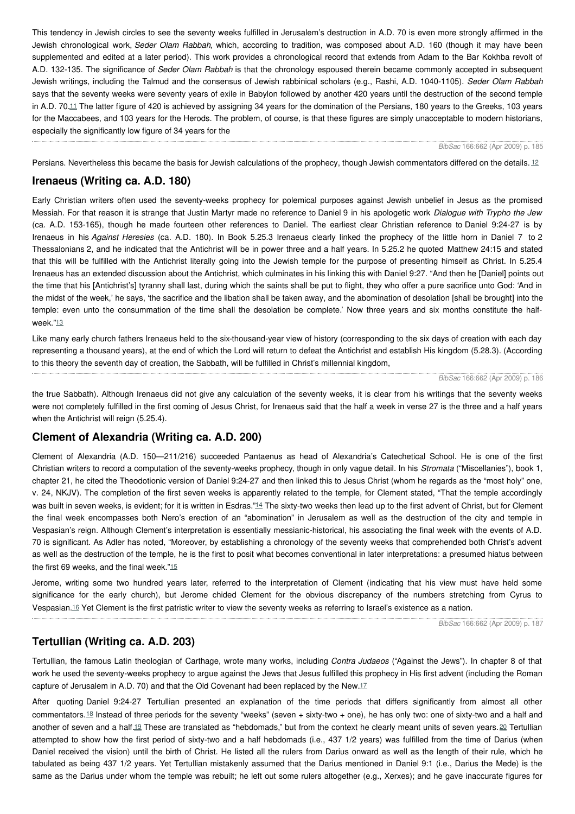This tendency in Jewish circles to see the seventy weeks fulfilled in Jerusalem's destruction in A.D. 70 is even more strongly affirmed in the Jewish chronological work, *Seder Olam Rabbah*, which, according to tradition, was composed about A.D. 160 (though it may have been supplemented and edited at a later period). This work provides a chronological record that extends from Adam to the Bar Kokhba revolt of A.D. 132-135. The significance of *Seder Olam Rabbah* is that the chronology espoused therein became commonly accepted in subsequent Jewish writings, including the Talmud and the consensus of Jewish rabbinical scholars (e.g., Rashi, A.D. 1040-1105). *Seder Olam Rabbah* says that the seventy weeks were seventy years of exile in Babylon followed by another 420 years until the destruction of the second temple in A.D. 70.[11](#page-0-0) The latter figure of 420 is achieved by assigning 34 years for the domination of the Persians, 180 years to the Greeks, 103 years for the Maccabees, and 103 years for the Herods. The problem, of course, is that these figures are simply unacceptable to modern historians, especially the significantly low figure of 34 years for the

<span id="page-1-1"></span>*BibSac* 166:662 (Apr 2009) p. 185

<span id="page-1-0"></span>Persians. Nevertheless this became the basis for Jewish calculations of the prophecy, though Jewish commentators differed on the details. [12](#page-0-0)

## **Irenaeus (Writing ca. A.D. 180)**

Early Christian writers often used the seventy-weeks prophecy for polemical purposes against Jewish unbelief in Jesus as the promised Messiah. For that reason it is strange that Justin Martyr made no reference to Daniel 9 in his apologetic work *Dialogue with Trypho the Jew* (ca. A.D. 153-165), though he made fourteen other references to Daniel. The earliest clear Christian reference to Daniel 9:24-27 is by Irenaeus in his *Against Heresies* (ca. A.D. 180). In Book 5.25.3 Irenaeus clearly linked the prophecy of the little horn in Daniel 7 to 2 Thessalonians 2, and he indicated that the Antichrist will be in power three and a half years. In 5.25.2 he quoted Matthew 24:15 and stated that this will be fulfilled with the Antichrist literally going into the Jewish temple for the purpose of presenting himself as Christ. In 5.25.4 Irenaeus has an extended discussion about the Antichrist, which culminates in his linking this with Daniel 9:27. "And then he [Daniel] points out the time that his [Antichrist's] tyranny shall last, during which the saints shall be put to flight, they who offer a pure sacrifice unto God: 'And in the midst of the week,' he says, 'the sacrifice and the libation shall be taken away, and the abomination of desolation [shall be brought] into the temple: even unto the consummation of the time shall the desolation be complete.' Now three years and six months constitute the half-week."[13](#page-0-0)

<span id="page-1-2"></span>Like many early church fathers Irenaeus held to the six-thousand-year view of history (corresponding to the six days of creation with each day representing a thousand years), at the end of which the Lord will return to defeat the Antichrist and establish His kingdom (5.28.3). (According to this theory the seventh day of creation, the Sabbath, will be fulfilled in Christ's millennial kingdom,

*BibSac* 166:662 (Apr 2009) p. 186

the true Sabbath). Although Irenaeus did not give any calculation of the seventy weeks, it is clear from his writings that the seventy weeks were not completely fulfilled in the first coming of Jesus Christ, for Irenaeus said that the half a week in verse 27 is the three and a half years when the Antichrist will reign (5.25.4).

## **Clement of Alexandria (Writing ca. A.D. 200)**

Clement of Alexandria (A.D. 150—211/216) succeeded Pantaenus as head of Alexandria's Catechetical School. He is one of the first Christian writers to record a computation of the seventy-weeks prophecy, though in only vague detail. In his *Stromata* ("Miscellanies"), book 1, chapter 21, he cited the Theodotionic version of Daniel 9:24-27 and then linked this to Jesus Christ (whom he regards as the "most holy" one, v. 24, NKJV). The completion of the first seven weeks is apparently related to the temple, for Clement stated, "That the temple accordingly was built in seven weeks, is evident; for it is written in Esdras."[14](#page-0-0) The sixty-two weeks then lead up to the first advent of Christ, but for Clement the final week encompasses both Nero's erection of an "abomination" in Jerusalem as well as the destruction of the city and temple in Vespasian's reign. Although Clement's interpretation is essentially messianic-historical, his associating the final week with the events of A.D. 70 is significant. As Adler has noted, "Moreover, by establishing a chronology of the seventy weeks that comprehended both Christ's advent as well as the destruction of the temple, he is the first to posit what becomes conventional in later interpretations: a presumed hiatus between the first 69 weeks, and the final week."[15](#page-0-0)

<span id="page-1-5"></span><span id="page-1-4"></span>Jerome, writing some two hundred years later, referred to the interpretation of Clement (indicating that his view must have held some significance for the early church), but Jerome chided Clement for the obvious discrepancy of the numbers stretching from Cyrus to Vespasian.[16](#page-0-0) Yet Clement is the first patristic writer to view the seventy weeks as referring to Israel's existence as a nation.

<span id="page-1-9"></span><span id="page-1-6"></span><span id="page-1-3"></span>*BibSac* 166:662 (Apr 2009) p. 187

### **Tertullian (Writing ca. A.D. 203)**

Tertullian, the famous Latin theologian of Carthage, wrote many works, including *Contra Judaeos* ("Against the Jews"). In chapter 8 of that work he used the seventy-weeks prophecy to argue against the Jews that Jesus fulfilled this prophecy in His first advent (including the Roman capture of Jerusalem in A.D. 70) and that the Old Covenant had been replaced by the New.[17](#page-0-0)

<span id="page-1-8"></span><span id="page-1-7"></span>After quoting Daniel 9:24-27 Tertullian presented an explanation of the time periods that differs significantly from almost all other commentators.[18](#page-0-0) Instead of three periods for the seventy "weeks" (seven + sixty-two + one), he has only two: one of sixty-two and a half and another of seven and a half.<sup>[19](#page-0-0)</sup> These are translated as "hebdomads," but from the context he clearly meant units of seven years. [20](#page-0-0) Tertullian attempted to show how the first period of sixty-two and a half hebdomads (i.e., 437 1/2 years) was fulfilled from the time of Darius (when Daniel received the vision) until the birth of Christ. He listed all the rulers from Darius onward as well as the length of their rule, which he tabulated as being 437 1/2 years. Yet Tertullian mistakenly assumed that the Darius mentioned in Daniel 9:1 (i.e., Darius the Mede) is the same as the Darius under whom the temple was rebuilt; he left out some rulers altogether (e.g., Xerxes); and he gave inaccurate figures for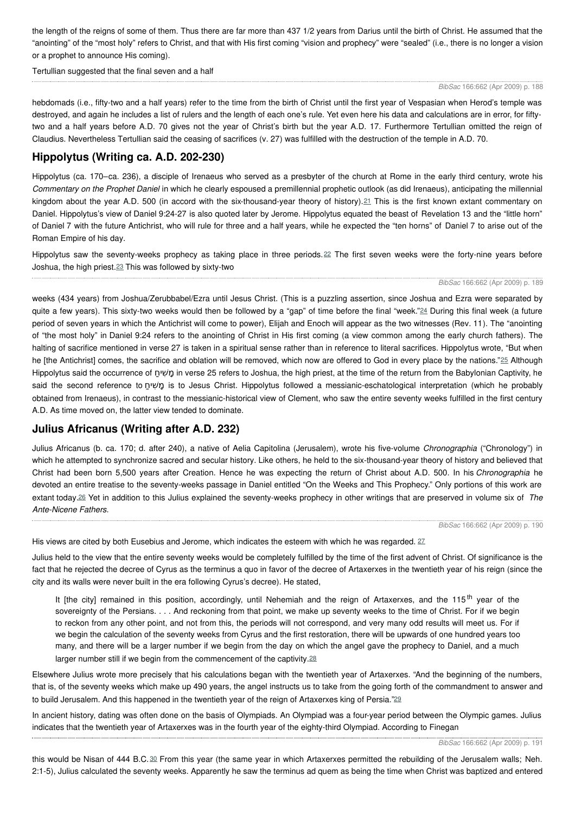the length of the reigns of some of them. Thus there are far more than 437 1/2 years from Darius until the birth of Christ. He assumed that the "anointing" of the "most holy" refers to Christ, and that with His first coming "vision and prophecy" were "sealed" (i.e., there is no longer a vision or a prophet to announce His coming).

Tertullian suggested that the final seven and a half

#### *BibSac* 166:662 (Apr 2009) p. 188

hebdomads (i.e., fifty-two and a half years) refer to the time from the birth of Christ until the first year of Vespasian when Herod's temple was destroyed, and again he includes a list of rulers and the length of each one's rule. Yet even here his data and calculations are in error, for fiftytwo and a half years before A.D. 70 gives not the year of Christ's birth but the year A.D. 17. Furthermore Tertullian omitted the reign of Claudius. Nevertheless Tertullian said the ceasing of sacrifices (v. 27) was fulfilled with the destruction of the temple in A.D. 70.

# **Hippolytus (Writing ca. A.D. 202-230)**

Hippolytus (ca. 170–ca. 236), a disciple of Irenaeus who served as a presbyter of the church at Rome in the early third century, wrote his *Commentary on the Prophet Daniel* in which he clearly espoused a premillennial prophetic outlook (as did Irenaeus), anticipating the millennial kingdom about the year A.D. 500 (in accord with the six-thousand-year theory of history).<sup>[21](#page-0-0)</sup> This is the first known extant commentary on Daniel. Hippolytus's view of Daniel 9:24-27 is also quoted later by Jerome. Hippolytus equated the beast of Revelation 13 and the "little horn" of Daniel 7 with the future Antichrist, who will rule for three and a half years, while he expected the "ten horns" of Daniel 7 to arise out of the Roman Empire of his day.

<span id="page-2-2"></span>Hippolytus saw the seventy-weeks prophecy as taking place in three periods. [22](#page-0-0) The first seven weeks were the forty-nine years before Joshua, the high priest.[23](#page-0-0) This was followed by sixty-two

#### <span id="page-2-4"></span><span id="page-2-3"></span><span id="page-2-1"></span><span id="page-2-0"></span>*BibSac* 166:662 (Apr 2009) p. 189

weeks (434 years) from Joshua/Zerubbabel/Ezra until Jesus Christ. (This is a puzzling assertion, since Joshua and Ezra were separated by quite a few years). This sixty-two weeks would then be followed by a "gap" of time before the final "week."<sup>[24](#page-0-0)</sup> During this final week (a future period of seven years in which the Antichrist will come to power), Elijah and Enoch will appear as the two witnesses (Rev. 11). The "anointing of "the most holy" in Daniel 9:24 refers to the anointing of Christ in His first coming (a view common among the early church fathers). The halting of sacrifice mentioned in verse 27 is taken in a spiritual sense rather than in reference to literal sacrifices. Hippolytus wrote, "But when he [the Antichrist] comes, the sacrifice and oblation will be removed, which now are offered to God in every place by the nations."<sup>[25](#page-0-0)</sup> Although Hippolytus said the occurrence of מַשִׁיחַ in verse 25 refers to Joshua, the high priest, at the time of the return from the Babylonian Captivity, he said the second reference to מַשִׁיחַ is to Jesus Christ. Hippolytus followed a messianic-eschatological interpretation (which he probably obtained from Irenaeus), in contrast to the messianic-historical view of Clement, who saw the entire seventy weeks fulfilled in the first century A.D. As time moved on, the latter view tended to dominate.

### **Julius Africanus (Writing after A.D. 232)**

Julius Africanus (b. ca. 170; d. after 240), a native of Aelia Capitolina (Jerusalem), wrote his five-volume *Chronographia* ("Chronology") in which he attempted to synchronize sacred and secular history. Like others, he held to the six-thousand-year theory of history and believed that Christ had been born 5,500 years after Creation. Hence he was expecting the return of Christ about A.D. 500. In his *Chronographia* he devoted an entire treatise to the seventy-weeks passage in Daniel entitled "On the Weeks and This Prophecy." Only portions of this work are extant today.[26](#page-0-0) Yet in addition to this Julius explained the seventy-weeks prophecy in other writings that are preserved in volume six of *The Ante-Nicene Fathers.*

<span id="page-2-8"></span><span id="page-2-7"></span><span id="page-2-6"></span>*BibSac* 166:662 (Apr 2009) p. 190

<span id="page-2-5"></span>His views are cited by both Eusebius and Jerome, which indicates the esteem with which he was regarded. [27](#page-0-0)

Julius held to the view that the entire seventy weeks would be completely fulfilled by the time of the first advent of Christ. Of significance is the fact that he rejected the decree of Cyrus as the terminus a quo in favor of the decree of Artaxerxes in the twentieth year of his reign (since the city and its walls were never built in the era following Cyrus's decree). He stated,

It [the city] remained in this position, accordingly, until Nehemiah and the reign of Artaxerxes, and the 115<sup>th</sup> year of the sovereignty of the Persians. . . . And reckoning from that point, we make up seventy weeks to the time of Christ. For if we begin to reckon from any other point, and not from this, the periods will not correspond, and very many odd results will meet us. For if we begin the calculation of the seventy weeks from Cyrus and the first restoration, there will be upwards of one hundred years too many, and there will be a larger number if we begin from the day on which the angel gave the prophecy to Daniel, and a much larger number still if we begin from the commencement of the captivity.<sup>[28](#page-0-0)</sup>

Elsewhere Julius wrote more precisely that his calculations began with the twentieth year of Artaxerxes. "And the beginning of the numbers, that is, of the seventy weeks which make up 490 years, the angel instructs us to take from the going forth of the commandment to answer and to build Jerusalem. And this happened in the twentieth year of the reign of Artaxerxes king of Persia."[29](#page-0-0)

In ancient history, dating was often done on the basis of Olympiads. An Olympiad was a four-year period between the Olympic games. Julius indicates that the twentieth year of Artaxerxes was in the fourth year of the eighty-third Olympiad. According to Finegan

<span id="page-2-9"></span>this would be Nisan of 444 B.C. [30](#page-0-0) From this year (the same year in which Artaxerxes permitted the rebuilding of the Jerusalem walls; Neh. 2:1-5), Julius calculated the seventy weeks. Apparently he saw the terminus ad quem as being the time when Christ was baptized and entered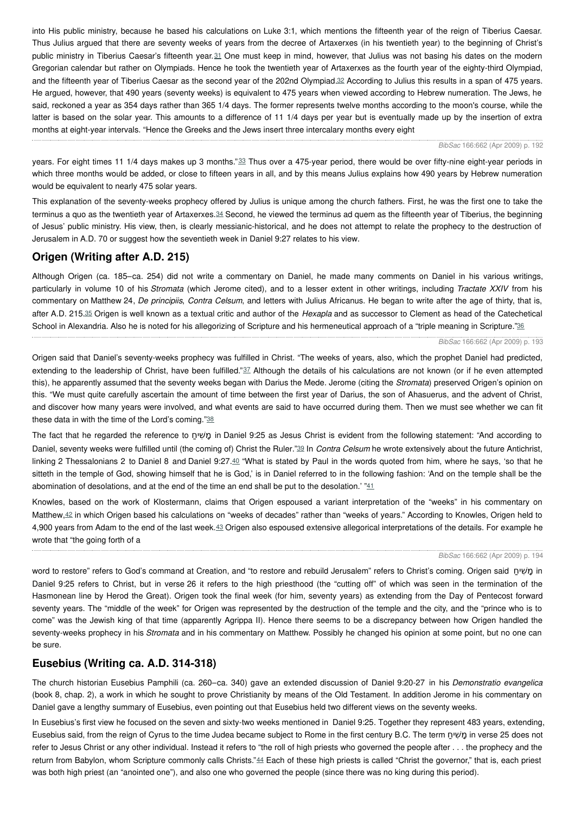<span id="page-3-0"></span>into His public ministry, because he based his calculations on Luke 3:1, which mentions the fifteenth year of the reign of Tiberius Caesar. Thus Julius argued that there are seventy weeks of years from the decree of Artaxerxes (in his twentieth year) to the beginning of Christ's public ministry in Tiberius Caesar's fifteenth year.<sup>[31](#page-0-0)</sup> One must keep in mind, however, that Julius was not basing his dates on the modern Gregorian calendar but rather on Olympiads. Hence he took the twentieth year of Artaxerxes as the fourth year of the eighty-third Olympiad, and the fifteenth year of Tiberius Caesar as the second year of the 202nd Olympiad.<sup>[32](#page-0-0)</sup> According to Julius this results in a span of 475 years. He argued, however, that 490 years (seventy weeks) is equivalent to 475 years when viewed according to Hebrew numeration. The Jews, he said, reckoned a year as 354 days rather than 365 1/4 days. The former represents twelve months according to the moon's course, while the latter is based on the solar year. This amounts to a difference of 11 1/4 days per year but is eventually made up by the insertion of extra months at eight-year intervals. "Hence the Greeks and the Jews insert three intercalary months every eight

<span id="page-3-2"></span><span id="page-3-1"></span>*BibSac* 166:662 (Apr 2009) p. 192

years. For eight times 11 1/4 days makes up 3 months."[33](#page-0-0) Thus over a 475-year period, there would be over fifty-nine eight-year periods in which three months would be added, or close to fifteen years in all, and by this means Julius explains how 490 years by Hebrew numeration would be equivalent to nearly 475 solar years.

<span id="page-3-3"></span>This explanation of the seventy-weeks prophecy offered by Julius is unique among the church fathers. First, he was the first one to take the terminus a quo as the twentieth year of Artaxerxes.<sup>[34](#page-0-0)</sup> Second, he viewed the terminus ad quem as the fifteenth year of Tiberius, the beginning of Jesus' public ministry. His view, then, is clearly messianic-historical, and he does not attempt to relate the prophecy to the destruction of Jerusalem in A.D. 70 or suggest how the seventieth week in Daniel 9:27 relates to his view.

# **Origen (Writing after A.D. 215)**

<span id="page-3-4"></span>Although Origen (ca. 185–ca. 254) did not write a commentary on Daniel, he made many comments on Daniel in his various writings, particularly in volume 10 of his *Stromata* (which Jerome cited), and to a lesser extent in other writings, including *Tractate XXIV* from his commentary on Matthew 24, *De principiis*, *Contra Celsum*, and letters with Julius Africanus. He began to write after the age of thirty, that is, after A.D. 215.[35](#page-0-0) Origen is well known as a textual critic and author of the *Hexapla* and as successor to Clement as head of the Catechetical School in Alexandria. Also he is noted for his allegorizing of Scripture and his hermeneutical approach of a "triple meaning in Scripture."<sup>[36](#page-0-0)</sup>

#### <span id="page-3-8"></span><span id="page-3-6"></span><span id="page-3-5"></span>*BibSac* 166:662 (Apr 2009) p. 193

Origen said that Daniel's seventy-weeks prophecy was fulfilled in Christ. "The weeks of years, also, which the prophet Daniel had predicted, extending to the leadership of Christ, have been fulfilled."[37](#page-0-0) Although the details of his calculations are not known (or if he even attempted this), he apparently assumed that the seventy weeks began with Darius the Mede. Jerome (citing the *Stromata*) preserved Origen's opinion on this. "We must quite carefully ascertain the amount of time between the first year of Darius, the son of Ahasuerus, and the advent of Christ, and discover how many years were involved, and what events are said to have occurred during them. Then we must see whether we can fit these data in with the time of the Lord's coming."[38](#page-0-0)

<span id="page-3-9"></span><span id="page-3-7"></span>The fact that he regarded the reference to חַ שיִׁ מָ in Daniel 9:25 as Jesus Christ is evident from the following statement: "And according to Daniel, seventy weeks were fulfilled until (the coming of) Christ the Ruler."[39](#page-0-0) In *Contra Celsum* he wrote extensively about the future Antichrist, linking 2 Thessalonians 2 to Daniel 8 and Daniel 9:27. $40$  "What is stated by Paul in the words quoted from him, where he says, 'so that he sitteth in the temple of God, showing himself that he is God,' is in Daniel referred to in the following fashion: 'And on the temple shall be the abomination of desolations, and at the end of the time an end shall be put to the desolation.'  $"41$  $"41$ 

<span id="page-3-12"></span><span id="page-3-11"></span>Knowles, based on the work of Klostermann, claims that Origen espoused a variant interpretation of the "weeks" in his commentary on Matthew, [42](#page-0-0) in which Origen based his calculations on "weeks of decades" rather than "weeks of years." According to Knowles, Origen held to 4,900 years from Adam to the end of the last week.[43](#page-0-0) Origen also espoused extensive allegorical interpretations of the details. For example he wrote that "the going forth of a

#### <span id="page-3-10"></span>*BibSac* 166:662 (Apr 2009) p. 194

word to restore" refers to God's command at Creation, and "to restore and rebuild Jerusalem" refers to Christ's coming. Origen said חַ שיִׁ מָ in Daniel 9:25 refers to Christ, but in verse 26 it refers to the high priesthood (the "cutting off" of which was seen in the termination of the Hasmonean line by Herod the Great). Origen took the final week (for him, seventy years) as extending from the Day of Pentecost forward seventy years. The "middle of the week" for Origen was represented by the destruction of the temple and the city, and the "prince who is to come" was the Jewish king of that time (apparently Agrippa II). Hence there seems to be a discrepancy between how Origen handled the seventy-weeks prophecy in his *Stromata* and in his commentary on Matthew. Possibly he changed his opinion at some point, but no one can be sure.

### **Eusebius (Writing ca. A.D. 314-318)**

The church historian Eusebius Pamphili (ca. 260–ca. 340) gave an extended discussion of Daniel 9:20-27 in his *Demonstratio evangelica* (book 8, chap. 2), a work in which he sought to prove Christianity by means of the Old Testament. In addition Jerome in his commentary on Daniel gave a lengthy summary of Eusebius, even pointing out that Eusebius held two different views on the seventy weeks.

<span id="page-3-13"></span>In Eusebius's first view he focused on the seven and sixty-two weeks mentioned in Daniel 9:25. Together they represent 483 years, extending, Eusebius said, from the reign of Cyrus to the time Judea became subject to Rome in the first century B.C. The term חַ שיִׁ מָ in verse 25 does not refer to Jesus Christ or any other individual. Instead it refers to "the roll of high priests who governed the people after . . . the prophecy and the return from Babylon, whom Scripture commonly calls Christs."[44](#page-0-0) Each of these high priests is called "Christ the governor," that is, each priest was both high priest (an "anointed one"), and also one who governed the people (since there was no king during this period).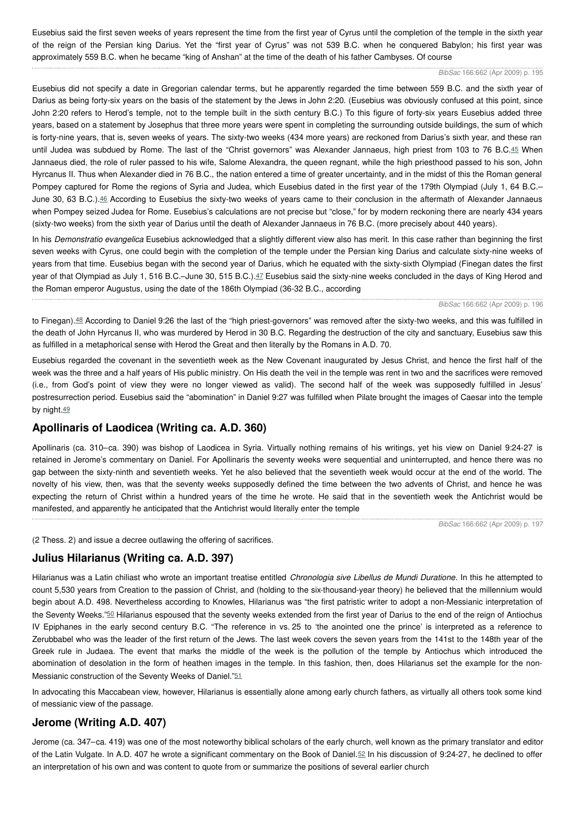Eusebius said the first seven weeks of years represent the time from the first year of Cyrus until the completion of the temple in the sixth year of the reign of the Persian king Darius. Yet the "first year of Cyrus" was not 539 B.C. when he conquered Babylon; his first year was approximately 559 B.C. when he became "king of Anshan" at the time of the death of his father Cambyses. Of course

#### <span id="page-4-0"></span>*BibSac* 166:662 (Apr 2009) p. 195

Eusebius did not specify a date in Gregorian calendar terms, but he apparently regarded the time between 559 B.C. and the sixth year of Darius as being forty-six years on the basis of the statement by the Jews in John 2:20. (Eusebius was obviously confused at this point, since John 2:20 refers to Herod's temple, not to the temple built in the sixth century B.C.) To this figure of forty-six years Eusebius added three years, based on a statement by Josephus that three more years were spent in completing the surrounding outside buildings, the sum of which is forty-nine years, that is, seven weeks of years. The sixty-two weeks (434 more years) are reckoned from Darius's sixth year, and these ran until Judea was subdued by Rome. The last of the "Christ governors" was Alexander Jannaeus, high priest from 103 to 76 B.C.[45](#page-0-0) When Jannaeus died, the role of ruler passed to his wife, Salome Alexandra, the queen regnant, while the high priesthood passed to his son, John Hyrcanus II. Thus when Alexander died in 76 B.C., the nation entered a time of greater uncertainty, and in the midst of this the Roman general Pompey captured for Rome the regions of Syria and Judea, which Eusebius dated in the first year of the 179th Olympiad (July 1, 64 B.C.– June 30, 63 B.C.).<sup>[46](#page-0-0)</sup> According to Eusebius the sixty-two weeks of years came to their conclusion in the aftermath of Alexander Jannaeus when Pompey seized Judea for Rome. Eusebius's calculations are not precise but "close," for by modern reckoning there are nearly 434 years (sixty-two weeks) from the sixth year of Darius until the death of Alexander Jannaeus in 76 B.C. (more precisely about 440 years).

<span id="page-4-1"></span>In his *Demonstratio evangelica* Eusebius acknowledged that a slightly different view also has merit. In this case rather than beginning the first seven weeks with Cyrus, one could begin with the completion of the temple under the Persian king Darius and calculate sixty-nine weeks of years from that time. Eusebius began with the second year of Darius, which he equated with the sixty-sixth Olympiad (Finegan dates the first year of that Olympiad as July 1, 516 B.C.–June 30, 515 B.C.).[47](#page-0-0) Eusebius said the sixty-nine weeks concluded in the days of King Herod and the Roman emperor Augustus, using the date of the 186th Olympiad (36-32 B.C., according

<span id="page-4-2"></span>*BibSac* 166:662 (Apr 2009) p. 196

<span id="page-4-3"></span>to Finegan).[48](#page-0-0) According to Daniel 9:26 the last of the "high priest-governors" was removed after the sixty-two weeks, and this was fulfilled in the death of John Hyrcanus II, who was murdered by Herod in 30 B.C. Regarding the destruction of the city and sanctuary, Eusebius saw this as fulfilled in a metaphorical sense with Herod the Great and then literally by the Romans in A.D. 70.

Eusebius regarded the covenant in the seventieth week as the New Covenant inaugurated by Jesus Christ, and hence the first half of the week was the three and a half years of His public ministry. On His death the veil in the temple was rent in two and the sacrifices were removed (i.e., from God's point of view they were no longer viewed as valid). The second half of the week was supposedly fulfilled in Jesus' postresurrection period. Eusebius said the "abomination" in Daniel 9:27 was fulfilled when Pilate brought the images of Caesar into the temple by night.[49](#page-0-0)

## <span id="page-4-4"></span>**Apollinaris of Laodicea (Writing ca. A.D. 360)**

Apollinaris (ca. 310–ca. 390) was bishop of Laodicea in Syria. Virtually nothing remains of his writings, yet his view on Daniel 9:24-27 is retained in Jerome's commentary on Daniel. For Apollinaris the seventy weeks were sequential and uninterrupted, and hence there was no gap between the sixty-ninth and seventieth weeks. Yet he also believed that the seventieth week would occur at the end of the world. The novelty of his view, then, was that the seventy weeks supposedly defined the time between the two advents of Christ, and hence he was expecting the return of Christ within a hundred years of the time he wrote. He said that in the seventieth week the Antichrist would be manifested, and apparently he anticipated that the Antichrist would literally enter the temple

<span id="page-4-7"></span>*BibSac* 166:662 (Apr 2009) p. 197

(2 Thess. 2) and issue a decree outlawing the offering of sacrifices.

## **Julius Hilarianus (Writing ca. A.D. 397)**

<span id="page-4-5"></span>Hilarianus was a Latin chiliast who wrote an important treatise entitled *Chronologia sive Libellus de Mundi Duratione*. In this he attempted to count 5,530 years from Creation to the passion of Christ, and (holding to the six-thousand-year theory) he believed that the millennium would begin about A.D. 498. Nevertheless according to Knowles, Hilarianus was "the first patristic writer to adopt a non-Messianic interpretation of the Seventy Weeks."[50](#page-0-0) Hilarianus espoused that the seventy weeks extended from the first year of Darius to the end of the reign of Antiochus IV Epiphanes in the early second century B.C. "The reference in vs. 25 to 'the anointed one the prince' is interpreted as a reference to Zerubbabel who was the leader of the first return of the Jews. The last week covers the seven years from the 141st to the 148th year of the Greek rule in Judaea. The event that marks the middle of the week is the pollution of the temple by Antiochus which introduced the abomination of desolation in the form of heathen images in the temple. In this fashion, then, does Hilarianus set the example for the non-Messianic construction of the Seventy Weeks of Daniel."[51](#page-0-0)

<span id="page-4-6"></span>In advocating this Maccabean view, however, Hilarianus is essentially alone among early church fathers, as virtually all others took some kind of messianic view of the passage.

## **Jerome (Writing A.D. 407)**

Jerome (ca. 347–ca. 419) was one of the most noteworthy biblical scholars of the early church, well known as the primary translator and editor of the Latin Vulgate. In A.D. 407 he wrote a significant commentary on the Book of Daniel.[52](#page-0-0) In his discussion of 9:24-27, he declined to offer an interpretation of his own and was content to quote from or summarize the positions of several earlier church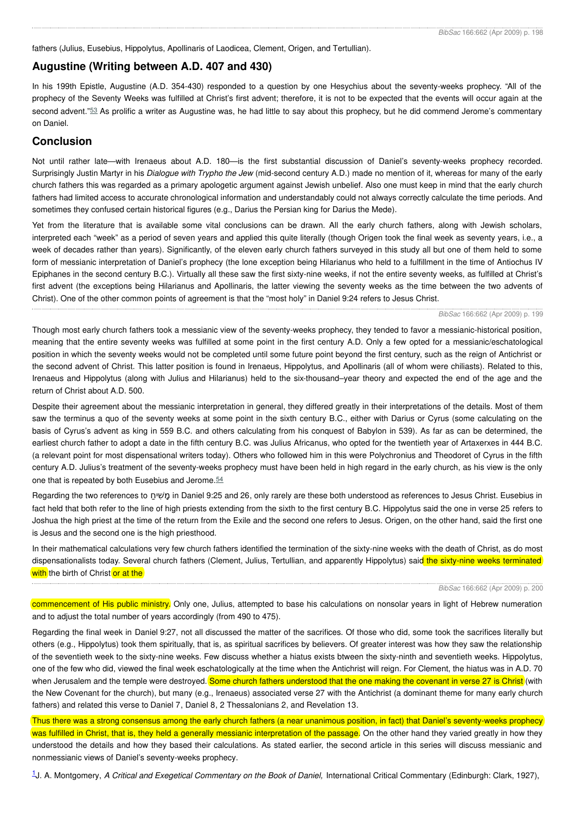fathers (Julius, Eusebius, Hippolytus, Apollinaris of Laodicea, Clement, Origen, and Tertullian).

### **Augustine (Writing between A.D. 407 and 430)**

<span id="page-5-0"></span>In his 199th Epistle, Augustine (A.D. 354-430) responded to a question by one Hesychius about the seventy-weeks prophecy. "All of the prophecy of the Seventy Weeks was fulfilled at Christ's first advent; therefore, it is not to be expected that the events will occur again at the second advent."<sup>[53](#page-0-0)</sup> As prolific a writer as Augustine was, he had little to say about this prophecy, but he did commend Jerome's commentary on Daniel.

### **Conclusion**

Not until rather late—with Irenaeus about A.D. 180—is the first substantial discussion of Daniel's seventy-weeks prophecy recorded. Surprisingly Justin Martyr in his *Dialogue with Trypho the Jew* (mid-second century A.D.) made no mention of it, whereas for many of the early church fathers this was regarded as a primary apologetic argument against Jewish unbelief. Also one must keep in mind that the early church fathers had limited access to accurate chronological information and understandably could not always correctly calculate the time periods. And sometimes they confused certain historical figures (e.g., Darius the Persian king for Darius the Mede).

Yet from the literature that is available some vital conclusions can be drawn. All the early church fathers, along with Jewish scholars, interpreted each "week" as a period of seven years and applied this quite literally (though Origen took the final week as seventy years, i.e., a week of decades rather than years). Significantly, of the eleven early church fathers surveyed in this study all but one of them held to some form of messianic interpretation of Daniel's prophecy (the lone exception being Hilarianus who held to a fulfillment in the time of Antiochus IV Epiphanes in the second century B.C.). Virtually all these saw the first sixty-nine weeks, if not the entire seventy weeks, as fulfilled at Christ's first advent (the exceptions being Hilarianus and Apollinaris, the latter viewing the seventy weeks as the time between the two advents of Christ). One of the other common points of agreement is that the "most holy" in Daniel 9:24 refers to Jesus Christ.

#### *BibSac* 166:662 (Apr 2009) p. 199

Though most early church fathers took a messianic view of the seventy-weeks prophecy, they tended to favor a messianic-historical position, meaning that the entire seventy weeks was fulfilled at some point in the first century A.D. Only a few opted for a messianic/eschatological position in which the seventy weeks would not be completed until some future point beyond the first century, such as the reign of Antichrist or the second advent of Christ. This latter position is found in Irenaeus, Hippolytus, and Apollinaris (all of whom were chiliasts). Related to this, Irenaeus and Hippolytus (along with Julius and Hilarianus) held to the six-thousand–year theory and expected the end of the age and the return of Christ about A.D. 500.

Despite their agreement about the messianic interpretation in general, they differed greatly in their interpretations of the details. Most of them saw the terminus a quo of the seventy weeks at some point in the sixth century B.C., either with Darius or Cyrus (some calculating on the basis of Cyrus's advent as king in 559 B.C. and others calculating from his conquest of Babylon in 539). As far as can be determined, the earliest church father to adopt a date in the fifth century B.C. was Julius Africanus, who opted for the twentieth year of Artaxerxes in 444 B.C. (a relevant point for most dispensational writers today). Others who followed him in this were Polychronius and Theodoret of Cyrus in the fifth century A.D. Julius's treatment of the seventy-weeks prophecy must have been held in high regard in the early church, as his view is the only one that is repeated by both Eusebius and Jerome.[54](#page-0-0)

<span id="page-5-1"></span>Regarding the two references to חַ שיִׁ מָ in Daniel 9:25 and 26, only rarely are these both understood as references to Jesus Christ. Eusebius in fact held that both refer to the line of high priests extending from the sixth to the first century B.C. Hippolytus said the one in verse 25 refers to Joshua the high priest at the time of the return from the Exile and the second one refers to Jesus. Origen, on the other hand, said the first one is Jesus and the second one is the high priesthood.

In their mathematical calculations very few church fathers identified the termination of the sixty-nine weeks with the death of Christ, as do most dispensationalists today. Several church fathers (Clement, Julius, Tertullian, and apparently Hippolytus) said the sixty-nine weeks terminated with the birth of Christ or at the

#### *BibSac* 166:662 (Apr 2009) p. 200

commencement of His public ministry. Only one, Julius, attempted to base his calculations on nonsolar years in light of Hebrew numeration and to adjust the total number of years accordingly (from 490 to 475).

Regarding the final week in Daniel 9:27, not all discussed the matter of the sacrifices. Of those who did, some took the sacrifices literally but others (e.g., Hippolytus) took them spiritually, that is, as spiritual sacrifices by believers. Of greater interest was how they saw the relationship of the seventieth week to the sixty-nine weeks. Few discuss whether a hiatus exists btween the sixty-ninth and seventieth weeks. Hippolytus, one of the few who did, viewed the final week eschatologically at the time when the Antichrist will reign. For Clement, the hiatus was in A.D. 70 when Jerusalem and the temple were destroyed. Some church fathers understood that the one making the covenant in verse 27 is Christ (with the New Covenant for the church), but many (e.g., Irenaeus) associated verse 27 with the Antichrist (a dominant theme for many early church fathers) and related this verse to Daniel 7, Daniel 8, 2 Thessalonians 2, and Revelation 13.

Thus there was a strong consensus among the early church fathers (a near unanimous position, in fact) that Daniel's seventy-weeks prophecy was fulfilled in Christ, that is, they held a generally messianic interpretation of the passage. On the other hand they varied greatly in how they understood the details and how they based their calculations. As stated earlier, the second article in this series will discuss messianic and nonmessianic views of Daniel's seventy-weeks prophecy.

[1](#page-0-1)J. A. Montgomery, *A Critical and Exegetical Commentary on the Book of Daniel,* International Critical Commentary (Edinburgh: Clark, 1927),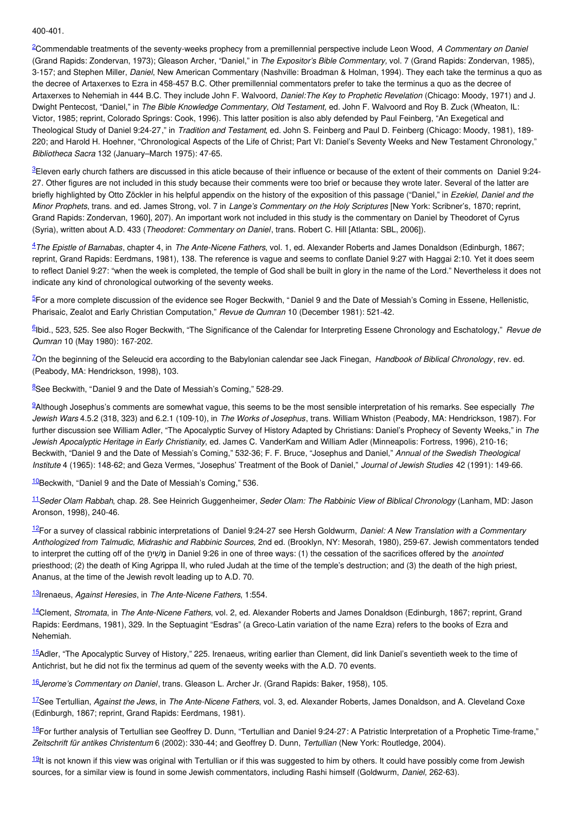400-401.

[2](#page-0-2)Commendable treatments of the seventy-weeks prophecy from a premillennial perspective include Leon Wood, *A Commentary on Daniel* (Grand Rapids: Zondervan, 1973); Gleason Archer, "Daniel," in *The Expositor's Bible Commentary,* vol. 7 (Grand Rapids: Zondervan, 1985), 3-157; and Stephen Miller, *Daniel*, New American Commentary (Nashville: Broadman & Holman, 1994). They each take the terminus a quo as the decree of Artaxerxes to Ezra in 458-457 B.C. Other premillennial commentators prefer to take the terminus a quo as the decree of Artaxerxes to Nehemiah in 444 B.C. They include John F. Walvoord, *Daniel:The Key to Prophetic Revelation* (Chicago: Moody, 1971) and J. Dwight Pentecost, "Daniel," in *The Bible Knowledge Commentary, Old Testament,* ed. John F. Walvoord and Roy B. Zuck (Wheaton, IL: Victor, 1985; reprint, Colorado Springs: Cook, 1996). This latter position is also ably defended by Paul Feinberg, "An Exegetical and Theological Study of Daniel 9:24-27," in *Tradition and Testament*, ed. John S. Feinberg and Paul D. Feinberg (Chicago: Moody, 1981), 189- 220; and Harold H. Hoehner, "Chronological Aspects of the Life of Christ; Part VI: Daniel's Seventy Weeks and New Testament Chronology," *Bibliotheca Sacra* 132 (January–March 1975): 47-65.

[3](#page-0-3)Eleven early church fathers are discussed in this aticle because of their influence or because of the extent of their comments on Daniel 9:24- 27. Other figures are not included in this study because their comments were too brief or because they wrote later. Several of the latter are briefly highlighted by Otto Zöckler in his helpful appendix on the history of the exposition of this passage ("Daniel," in *Ezekiel, Daniel and the Minor Prophets*, trans. and ed. James Strong, vol. 7 in *Lange's Commentary on the Holy Scriptures* [New York: Scribner's, 1870; reprint, Grand Rapids: Zondervan, 1960], 207). An important work not included in this study is the commentary on Daniel by Theodoret of Cyrus (Syria), written about A.D. 433 (*Theodoret: Commentary on Daniel*, trans. Robert C. Hill [Atlanta: SBL, 2006]).

[4](#page-0-4)*The Epistle of Barnabas*, chapter 4, in *The Ante-Nicene Fathers*, vol. 1, ed. Alexander Roberts and James Donaldson (Edinburgh, 1867; reprint, Grand Rapids: Eerdmans, 1981), 138. The reference is vague and seems to conflate Daniel 9:27 with Haggai 2:10. Yet it does seem to reflect Daniel 9:27: "when the week is completed, the temple of God shall be built in glory in the name of the Lord." Nevertheless it does not indicate any kind of chronological outworking of the seventy weeks.

[5](#page-0-5)For a more complete discussion of the evidence see Roger Beckwith, " Daniel 9 and the Date of Messiah's Coming in Essene, Hellenistic, Pharisaic, Zealot and Early Christian Computation," *Revue de Qumran* 10 (December 1981): 521-42.

[6](#page-0-6) Ibid., 523, 525. See also Roger Beckwith, "The Significance of the Calendar for Interpreting Essene Chronology and Eschatology," *Revue de Qumran* 10 (May 1980): 167-202.

[7](#page-0-7)On the beginning of the Seleucid era according to the Babylonian calendar see Jack Finegan, *Handbook of Biblical Chronology*, rev. ed. (Peabody, MA: Hendrickson, 1998), 103.

[8](#page-0-8)See Beckwith, "Daniel 9 and the Date of Messiah's Coming," 528-29.

[9](#page-0-9)Although Josephus's comments are somewhat vague, this seems to be the most sensible interpretation of his remarks. See especially *The Jewish Wars* 4.5.2 (318, 323) and 6.2.1 (109-10), in *The Works of Josephus*, trans. William Whiston (Peabody, MA: Hendrickson, 1987). For further discussion see William Adler, "The Apocalyptic Survey of History Adapted by Christians: Daniel's Prophecy of Seventy Weeks," in *The Jewish Apocalyptic Heritage in Early Christianity*, ed. James C. VanderKam and William Adler (Minneapolis: Fortress, 1996), 210-16; Beckwith, "Daniel 9 and the Date of Messiah's Coming," 532-36; F. F. Bruce, "Josephus and Daniel," *Annual of the Swedish Theological Institute* 4 (1965): 148-62; and Geza Vermes, "Josephus' Treatment of the Book of Daniel," *Journal of Jewish Studies* 42 (1991): 149-66.

 $10$ Beckwith, "Daniel 9 and the Date of Messiah's Coming," 536.

[11](#page-1-0)*Seder Olam Rabbah*, chap. 28. See Heinrich Guggenheimer, *Seder Olam: The Rabbinic View of Biblical Chronology* (Lanham, MD: Jason Aronson, 1998), 240-46.

[12](#page-1-1)For a survey of classical rabbinic interpretations of Daniel 9:24-27 see Hersh Goldwurm, *Daniel: A New Translation with a Commentary Anthologized from Talmudic, Midrashic and Rabbinic Sources,* 2nd ed. (Brooklyn, NY: Mesorah, 1980), 259-67. Jewish commentators tended to interpret the cutting off of the חַ שיִׁ מָ in Daniel 9:26 in one of three ways: (1) the cessation of the sacrifices offered by the *anointed* priesthood; (2) the death of King Agrippa II, who ruled Judah at the time of the temple's destruction; and (3) the death of the high priest, Ananus, at the time of the Jewish revolt leading up to A.D. 70.

[13](#page-1-2) Irenaeus, *Against Heresies*, in *The Ante-Nicene Fathers*, 1:554.

[14](#page-1-3)Clement, *Stromata*, in *The Ante-Nicene Fathers*, vol. 2, ed. Alexander Roberts and James Donaldson (Edinburgh, 1867; reprint, Grand Rapids: Eerdmans, 1981), 329. In the Septuagint "Esdras" (a Greco-Latin variation of the name Ezra) refers to the books of Ezra and Nehemiah.

[15](#page-1-4)Adler, "The Apocalyptic Survey of History," 225. Irenaeus, writing earlier than Clement, did link Daniel's seventieth week to the time of Antichrist, but he did not fix the terminus ad quem of the seventy weeks with the A.D. 70 events.

[16](#page-1-5)*Jerome's Commentary on Daniel*, trans. Gleason L. Archer Jr. (Grand Rapids: Baker, 1958), 105.

[17](#page-1-6)See Tertullian, *Against the Jews*, in *The Ante-Nicene Fathers*, vol. 3, ed. Alexander Roberts, James Donaldson, and A. Cleveland Coxe (Edinburgh, 1867; reprint, Grand Rapids: Eerdmans, 1981).

[18](#page-1-7)For further analysis of Tertullian see Geoffrey D. Dunn, "Tertullian and Daniel 9:24-27: A Patristic Interpretation of a Prophetic Time-frame," *Zeitschrift für antikes Christentum* 6 (2002): 330-44; and Geoffrey D. Dunn, *Tertullian* (New York: Routledge, 2004).

<sup>[19](#page-1-8)</sup>It is not known if this view was original with Tertullian or if this was suggested to him by others. It could have possibly come from Jewish sources, for a similar view is found in some Jewish commentators, including Rashi himself (Goldwurm, *Daniel,* 262-63).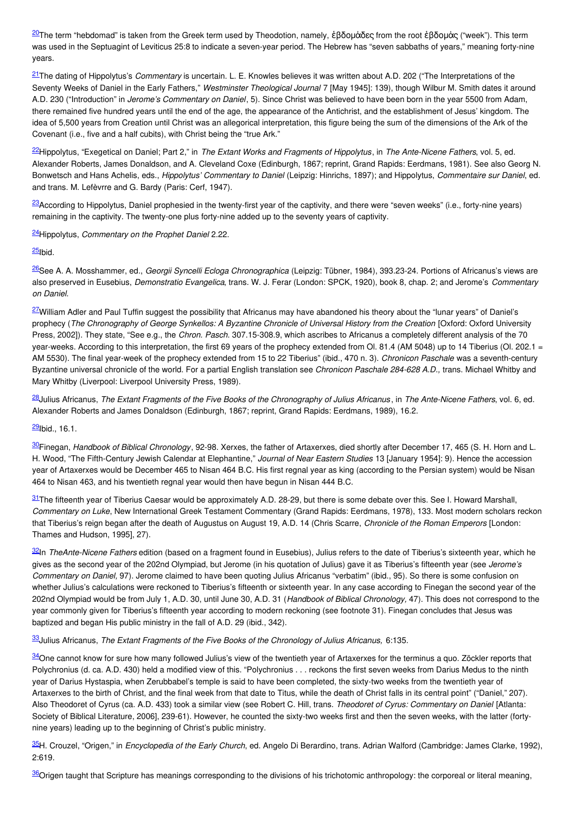[20](#page-1-9)The term "hebdomad" is taken from the Greek term used by Theodotion, namely, ἑβδομάδες from the root ἑβδομάς ("week"). This term was used in the Septuagint of Leviticus 25:8 to indicate a seven-year period. The Hebrew has "seven sabbaths of years," meaning forty-nine years.

[21](#page-2-0)The dating of Hippolytus's *Commentary* is uncertain. L. E. Knowles believes it was written about A.D. 202 ("The Interpretations of the Seventy Weeks of Daniel in the Early Fathers," *Westminster Theological Journal* 7 [May 1945]: 139), though Wilbur M. Smith dates it around A.D. 230 ("Introduction" in *Jerome's Commentary on Daniel*, 5). Since Christ was believed to have been born in the year 5500 from Adam, there remained five hundred years until the end of the age, the appearance of the Antichrist, and the establishment of Jesus' kingdom. The idea of 5,500 years from Creation until Christ was an allegorical interpretation, this figure being the sum of the dimensions of the Ark of the Covenant (i.e., five and a half cubits), with Christ being the "true Ark."

[22](#page-2-1)Hippolytus, "Exegetical on Daniel; Part 2," in *The Extant Works and Fragments of Hippolytus*, in *The Ante-Nicene Fathers*, vol. 5, ed. Alexander Roberts, James Donaldson, and A. Cleveland Coxe (Edinburgh, 1867; reprint, Grand Rapids: Eerdmans, 1981). See also Georg N. Bonwetsch and Hans Achelis, eds., *Hippolytus' Commentary to Daniel* (Leipzig: Hinrichs, 1897); and Hippolytus, *Commentaire sur Daniel*, ed. and trans. M. Lefèvrre and G. Bardy (Paris: Cerf, 1947).

<sup>[23](#page-2-2)</sup>According to Hippolytus, Daniel prophesied in the twenty-first year of the captivity, and there were "seven weeks" (i.e., forty-nine years) remaining in the captivity. The twenty-one plus forty-nine added up to the seventy years of captivity.

[24](#page-2-3)Hippolytus, *Commentary on the Prophet Daniel* 2.22.

<u><sup>[25](#page-2-4)</sup>lbid.</u>

[26](#page-2-5)See A. A. Mosshammer, ed., *Georgii Syncelli Ecloga Chronographica* (Leipzig: Tübner, 1984), 393.23-24. Portions of Africanus's views are also preserved in Eusebius, *Demonstratio Evangelica*, trans. W. J. Ferar (London: SPCK, 1920), book 8, chap. 2; and Jerome's *Commentary on Daniel.*

<sup>[27](#page-2-6)</sup>William Adler and Paul Tuffin suggest the possibility that Africanus may have abandoned his theory about the "lunar years" of Daniel's prophecy (The Chronography of George Synkellos: A Byzantine Chronicle of Universal History from the Creation [Oxford: Oxford University Press, 2002]). They state, "See e.g., the *Chron. Pasch*. 307.15-308.9, which ascribes to Africanus a completely different analysis of the 70 year-weeks. According to this interpretation, the first 69 years of the prophecy extended from Ol. 81.4 (AM 5048) up to 14 Tiberius (Ol. 202.1 = AM 5530). The final year-week of the prophecy extended from 15 to 22 Tiberius" (ibid., 470 n. 3). *Chronicon Paschale* was a seventh-century Byzantine universal chronicle of the world. For a partial English translation see *Chronicon Paschale 284-628 A.D.,* trans. Michael Whitby and Mary Whitby (Liverpool: Liverpool University Press, 1989).

<sup>[28](#page-2-7)</sup> Julius Africanus, The Extant Fragments of the Five Books of the Chronography of Julius Africanus, in The Ante-Nicene Fathers, vol. 6, ed. Alexander Roberts and James Donaldson (Edinburgh, 1867; reprint, Grand Rapids: Eerdmans, 1989), 16.2.

<u><sup>[29](#page-2-8)</sup>lbid.,</u> 16.1.

[30](#page-2-9)Finegan, *Handbook of Biblical Chronology*, 92-98. Xerxes, the father of Artaxerxes, died shortly after December 17, 465 (S. H. Horn and L. H. Wood, "The Fifth-Century Jewish Calendar at Elephantine," *Journal of Near Eastern Studies* 13 [January 1954]: 9). Hence the accession year of Artaxerxes would be December 465 to Nisan 464 B.C. His first regnal year as king (according to the Persian system) would be Nisan 464 to Nisan 463, and his twentieth regnal year would then have begun in Nisan 444 B.C.

 $31$ The fifteenth year of Tiberius Caesar would be approximately A.D. 28-29, but there is some debate over this. See I. Howard Marshall, *Commentary on Luke*, New International Greek Testament Commentary (Grand Rapids: Eerdmans, 1978), 133. Most modern scholars reckon that Tiberius's reign began after the death of Augustus on August 19, A.D. 14 (Chris Scarre, *Chronicle of the Roman Emperors* [London: Thames and Hudson, 1995], 27).

[32](#page-3-1) In *TheAnte-Nicene Fathers* edition (based on a fragment found in Eusebius), Julius refers to the date of Tiberius's sixteenth year, which he gives as the second year of the 202nd Olympiad, but Jerome (in his quotation of Julius) gave it as Tiberius's fifteenth year (see *Jerome's Commentary on Daniel,* 97). Jerome claimed to have been quoting Julius Africanus "verbatim" (ibid., 95). So there is some confusion on whether Julius's calculations were reckoned to Tiberius's fifteenth or sixteenth year. In any case according to Finegan the second year of the 202nd Olympiad would be from July 1, A.D. 30, until June 30, A.D. 31 (*Handbook of Biblical Chronology,* 47). This does not correspond to the year commonly given for Tiberius's fifteenth year according to modern reckoning (see footnote 31). Finegan concludes that Jesus was baptized and began His public ministry in the fall of A.D. 29 (ibid., 342).

[33](#page-3-2)Julius Africanus, *The Extant Fragments of the Five Books of the Chronology of Julius Africanus,* 6:135.

[34](#page-3-3) One cannot know for sure how many followed Julius's view of the twentieth year of Artaxerxes for the terminus a quo. Zöckler reports that Polychronius (d. ca. A.D. 430) held a modified view of this. "Polychronius . . . reckons the first seven weeks from Darius Medus to the ninth year of Darius Hystaspia, when Zerubbabel's temple is said to have been completed, the sixty-two weeks from the twentieth year of Artaxerxes to the birth of Christ, and the final week from that date to Titus, while the death of Christ falls in its central point" ("Daniel," 207). Also Theodoret of Cyrus (ca. A.D. 433) took a similar view (see Robert C. Hill, trans. *Theodoret of Cyrus: Commentary on Daniel* [Atlanta: Society of Biblical Literature, 2006], 239-61). However, he counted the sixty-two weeks first and then the seven weeks, with the latter (fortynine years) leading up to the beginning of Christ's public ministry.

[35](#page-3-4)H. Crouzel, "Origen," in *Encyclopedia of the Early Church*, ed. Angelo Di Berardino, trans. Adrian Walford (Cambridge: James Clarke, 1992), 2:619.

**[36](#page-3-5)**Origen taught that Scripture has meanings corresponding to the divisions of his trichotomic anthropology: the corporeal or literal meaning,